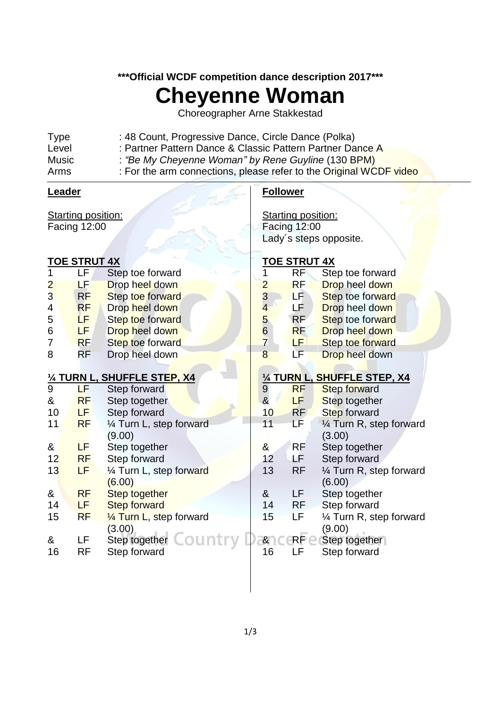### **\*\*\*Official WCDF competition dance description 2017\*\*\***

# **Cheyenne Woman**

Choreographer Arne Stakkestad

| Arms         | : For the arm connections, please refer to the Original WCDF video |
|--------------|--------------------------------------------------------------------|
| <b>Music</b> | : "Be My Cheyenne Woman" by Rene Guyline (130 BPM)                 |
| Level        | : Partner Pattern Dance & Classic Pattern Partner Dance A          |
| <b>Type</b>  | : 48 Count, Progressive Dance, Circle Dance (Polka)                |

#### **Leader**

Starting position: Facing 12:00

### **TOE STRUT 4X**

| 1              | LF        | Step toe forward                | 1                       |
|----------------|-----------|---------------------------------|-------------------------|
| $\overline{2}$ | LF        | Drop heel down                  |                         |
| $\overline{3}$ | RF        | Step toe forward                |                         |
| 4              | <b>RF</b> | Drop heel down                  |                         |
| 5              | LF.       | Step toe forward                | 2345678                 |
| 6              | LF.       | Drop heel down                  |                         |
| 7              | <b>RF</b> | Step toe forward                |                         |
| 8              | RF        | Drop heel down                  |                         |
|                |           |                                 |                         |
| <u>1/4</u>     |           | <b>TURN L, SHUFFLE STEP, X4</b> | $\frac{\frac{1}{4}}{9}$ |
| 9              | LF        | Step forward                    |                         |
| &              | <b>RF</b> | Step together                   |                         |
| 10             | LF.       | Step forward                    | 10                      |
| 11             | <b>RF</b> | 1/4 Turn L, step forward        | 11                      |
|                |           | (9.00)                          |                         |
| &              | LF        | Step together                   | &                       |
| 12             | <b>RF</b> | Step forward                    | 12                      |
| 13             | LF        | 1⁄4 Turn L, step forward        | 13                      |
|                |           | (6.00)                          |                         |
| &              | <b>RF</b> | <b>Step together</b>            | &                       |
| 14             | LF        | <b>Step forward</b>             | 14                      |
| 15             | <b>RF</b> | 1/4 Turn L, step forward        | 15                      |
|                |           | (3.00)                          |                         |
| &              | LF        | Step together COUntl            | &                       |
| 16             | RF        | Step forward                    | 16                      |

### **Follower**

Starting position: Facing 12:00 Lady´s steps opposite.

### **TOE STRUT 4X**

|                | RF                           | Step toe forward |  |  |
|----------------|------------------------------|------------------|--|--|
| $\overline{2}$ | <b>RF</b>                    | Drop heel down   |  |  |
| 3              | LF                           | Step toe forward |  |  |
| 4              | LF                           | Drop heel down   |  |  |
| 5              | <b>RF</b>                    | Step toe forward |  |  |
| 6              | <b>RF</b>                    | Drop heel down   |  |  |
| $\overline{7}$ | LF                           | Step toe forward |  |  |
| 8              | LF                           | Drop heel down   |  |  |
|                |                              |                  |  |  |
|                | 1/4 TURN L, SHUFFLE STEP, X4 |                  |  |  |

| 9  | RF        | <b>Step forward</b>                |
|----|-----------|------------------------------------|
| &  | LF        | Step together                      |
| 10 | <b>RF</b> | Step forward                       |
| 11 | LF        | $\frac{1}{4}$ Turn R, step forward |
|    |           | (3.00)                             |
| &  | RF        | Step together                      |
| 12 | ŁF        | Step forward                       |
| 13 | RF        | 1/4 Turn R, step forward           |
|    |           | (6.00)                             |
| &  | LF        | Step together                      |
| 14 | <b>RF</b> | Step forward                       |
| 15 | LF        | 1/4 Turn R, step forward           |
|    |           | (9.00)                             |
| &  | RF        | Step together                      |
| 16 |           | Step forward                       |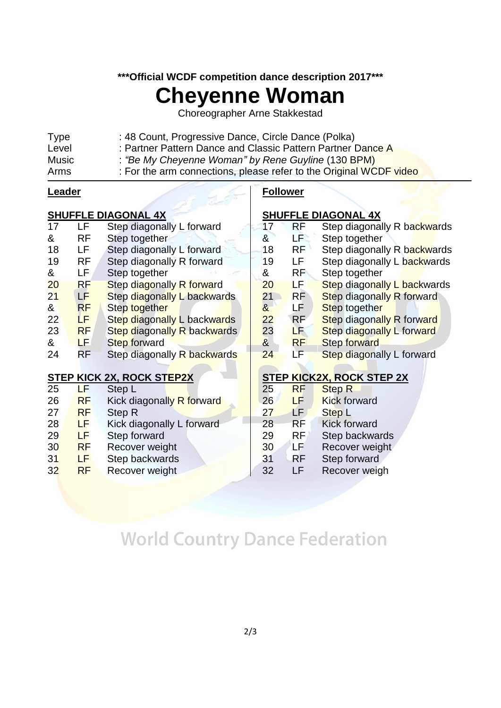### **\*\*\*Official WCDF competition dance description 2017\*\*\***

# **Cheyenne Woman**

Choreographer Arne Stakkestad

| <b>Type</b> | : 48 Count, Progressive Dance, Circle Dance (Polka)                |
|-------------|--------------------------------------------------------------------|
| Level       | : Partner Pattern Dance and Classic Pattern Partner Dance A        |
| Music       | : "Be My Cheyenne Woman" by Rene Guyline (130 BPM)                 |
| Arms        | : For the arm connections, please refer to the Original WCDF video |
|             |                                                                    |

#### **Leader**

### **SHUFFLE DIAGONAL 4X**

|    |           | <b>SHUFFLE DIAGUNAL 47</b>         | onuri       |
|----|-----------|------------------------------------|-------------|
| 17 | LF        | Step diagonally L forward          | 17          |
| &  | RF        | Step together                      | &           |
| 18 | LF        | Step diagonally L forward          | 18          |
| 19 | RF        | Step diagonally R forward          | 19          |
| &  | LF        | Step together                      | &           |
| 20 | RF        | Step diagonally R forward          | 20          |
| 21 | LF        | Step diagonally L backwards        | 21          |
| &  | RF        | Step together                      | $\alpha$    |
| 22 | LF        | Step diagonally L backwards        | 22          |
| 23 | <b>RF</b> | <b>Step diagonally R backwards</b> | 23          |
| &  | LF        | <b>Step forward</b>                | $\alpha$    |
| 24 | RF        | Step diagonally R backwards        | 24          |
|    |           |                                    |             |
|    |           | <b>STEP KICK 2X, ROCK STEP2X</b>   | <b>STEP</b> |
| 25 | LF        | Step L                             | 25          |
| 26 | <b>RF</b> | Kick diagonally R forward          | 26          |
| 27 | <b>RF</b> | Step R                             | 27          |
| 28 | LF        | Kick diagonally L forward          | 28          |
| 29 | LF        | Step forward                       | 29          |
| 30 | <b>RF</b> | Recover weight                     | 30          |

- 31 LF Step backwards
- 32 RF Recover weight

### **Follower**

### **FLE DIAGONAL 4X**

| 17                    | RF        | Step diagonally R backwards        |
|-----------------------|-----------|------------------------------------|
| &                     | LF        | Step together                      |
| 18                    | <b>RF</b> | Step diagonally R backwards        |
| 19                    | LF        | Step diagonally L backwards        |
| &                     | RF        | Step together                      |
| 20                    | LF        | <b>Step diagonally L backwards</b> |
| 21                    | <b>RF</b> | <b>Step diagonally R forward</b>   |
| &                     | LF        | Step together                      |
| 22                    | <b>RF</b> | Step diagonally R forward          |
| 23                    | LF        | Step diagonally L forward          |
| $\boldsymbol{\alpha}$ | <b>RF</b> | <b>Step forward</b>                |
| 24                    | LF        | Step diagonally L forward          |
|                       |           |                                    |
|                       |           | STEP KICK2X, ROCK STEP 2X          |
| 25                    | RF        | <b>Step R</b>                      |
| 26                    | LF        | <b>Kick forward</b>                |
| 27                    | LF        | Step L                             |
| 28                    | RF        | <b>Kick forward</b>                |

- RF Step backwards
- 30 LF Recover weight<br>31 RF Step forward
- 31 RF Step forward<br>32 LF Recover weid
	- LF Recover weigh

## **World Country Dance Federation**